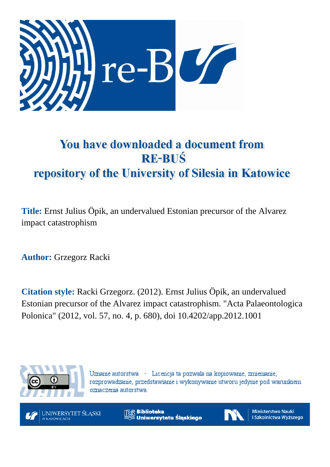

## You have downloaded a document from **RE-BUŚ** repository of the University of Silesia in Katowice

**Title:** Ernst Julius Öpik, an undervalued Estonian precursor of the Alvarez impact catastrophism

**Author:** Grzegorz Racki

**Citation style:** Racki Grzegorz. (2012). Ernst Julius Öpik, an undervalued Estonian precursor of the Alvarez impact catastrophism. "Acta Palaeontologica Polonica" (2012, vol. 57, no. 4, p. 680), doi 10.4202/app.2012.1001



Uznanie autorstwa - Licencja ta pozwala na kopiowanie, zmienianie, rozprowadzanie, przedstawianie i wykonywanie utworu jedynie pod warunkiem oznaczenia autorstwa.



**Biblioteka** Uniwersytetu Śląskiego



**Ministerstwo Nauki** i Szkolnictwa Wyższego